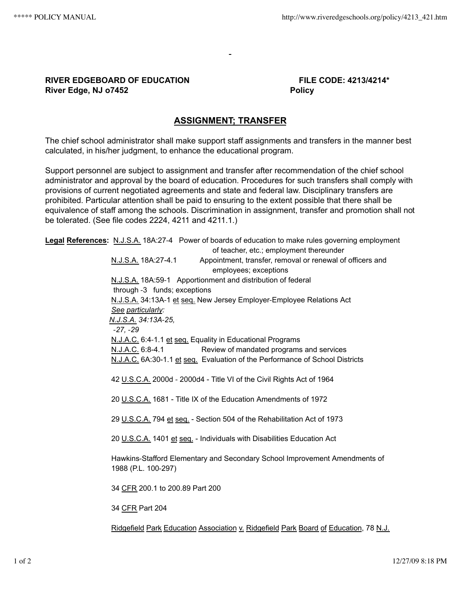## **RIVER EDGEBOARD OF EDUCATION FILE CODE: 4213/4214\* River Edge, NJ 07452** Policy

## **ASSIGNMENT; TRANSFER**

The chief school administrator shall make support staff assignments and transfers in the manner best calculated, in his/her judgment, to enhance the educational program.

Support personnel are subject to assignment and transfer after recommendation of the chief school administrator and approval by the board of education. Procedures for such transfers shall comply with provisions of current negotiated agreements and state and federal law. Disciplinary transfers are prohibited. Particular attention shall be paid to ensuring to the extent possible that there shall be equivalence of staff among the schools. Discrimination in assignment, transfer and promotion shall not be tolerated. (See file codes 2224, 4211 and 4211.1.)

**Legal References:** N.J.S.A. 18A:27‑4 Power of boards of education to make rules governing employment of teacher, etc.; employment thereunder N.J.S.A. 18A:27-4.1 Appointment, transfer, removal or renewal of officers and employees; exceptions N.J.S.A. 18A:59‑1 Apportionment and distribution of federal through ‑3 funds; exceptions N.J.S.A. 34:13A‑1 et seq. New Jersey Employer‑Employee Relations Act *See particularly: N.J.S.A. 34:13A‑25, ‑27, ‑29* N.J.A.C. 6:4‑1.1 et seq. Equality in Educational Programs N.J.A.C. 6:8-4.1 Review of mandated programs and services N.J.A.C. 6A:30-1.1 et seq. Evaluation of the Performance of School Districts 42 U.S.C.A. 2000d ‑ 2000d4 - Title VI of the Civil Rights Act of 1964 20 U.S.C.A. 1681 - Title IX of the Education Amendments of 1972 29 U.S.C.A. 794 et seq. - Section 504 of the Rehabilitation Act of 1973 20 U.S.C.A. 1401 et seq. - Individuals with Disabilities Education Act Hawkins‑Stafford Elementary and Secondary School Improvement Amendments of 1988 (P.L. 100‑297) 34 CFR 200.1 to 200.89 Part 200 34 CFR Part 204

Ridgefield Park Education Association v. Ridgefield Park Board of Education, 78 N.J.